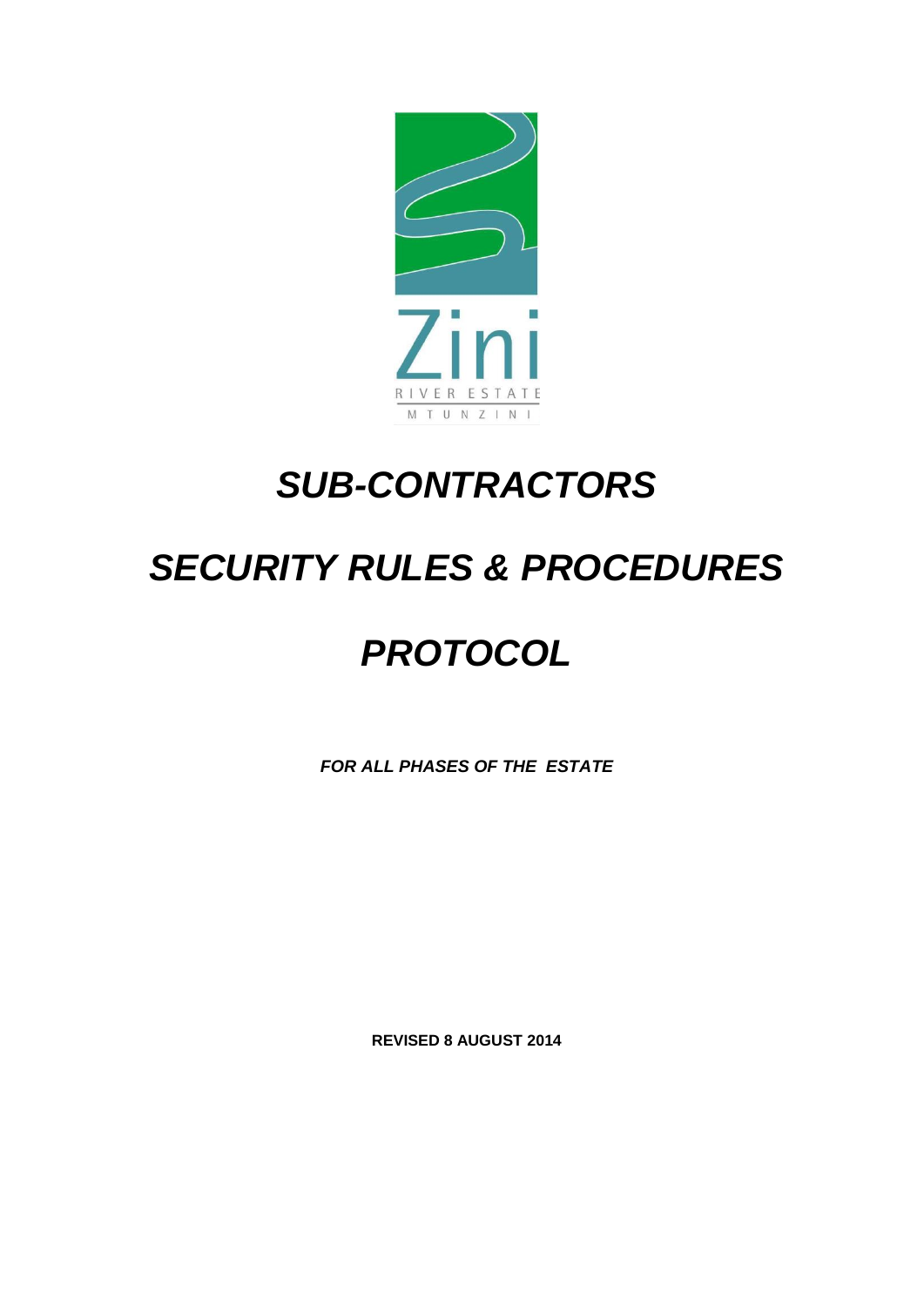

## *SUB-CONTRACTORS*

## *SECURITY RULES & PROCEDURES*

## *PROTOCOL*

*FOR ALL PHASES OF THE ESTATE*

**REVISED 8 AUGUST 2014**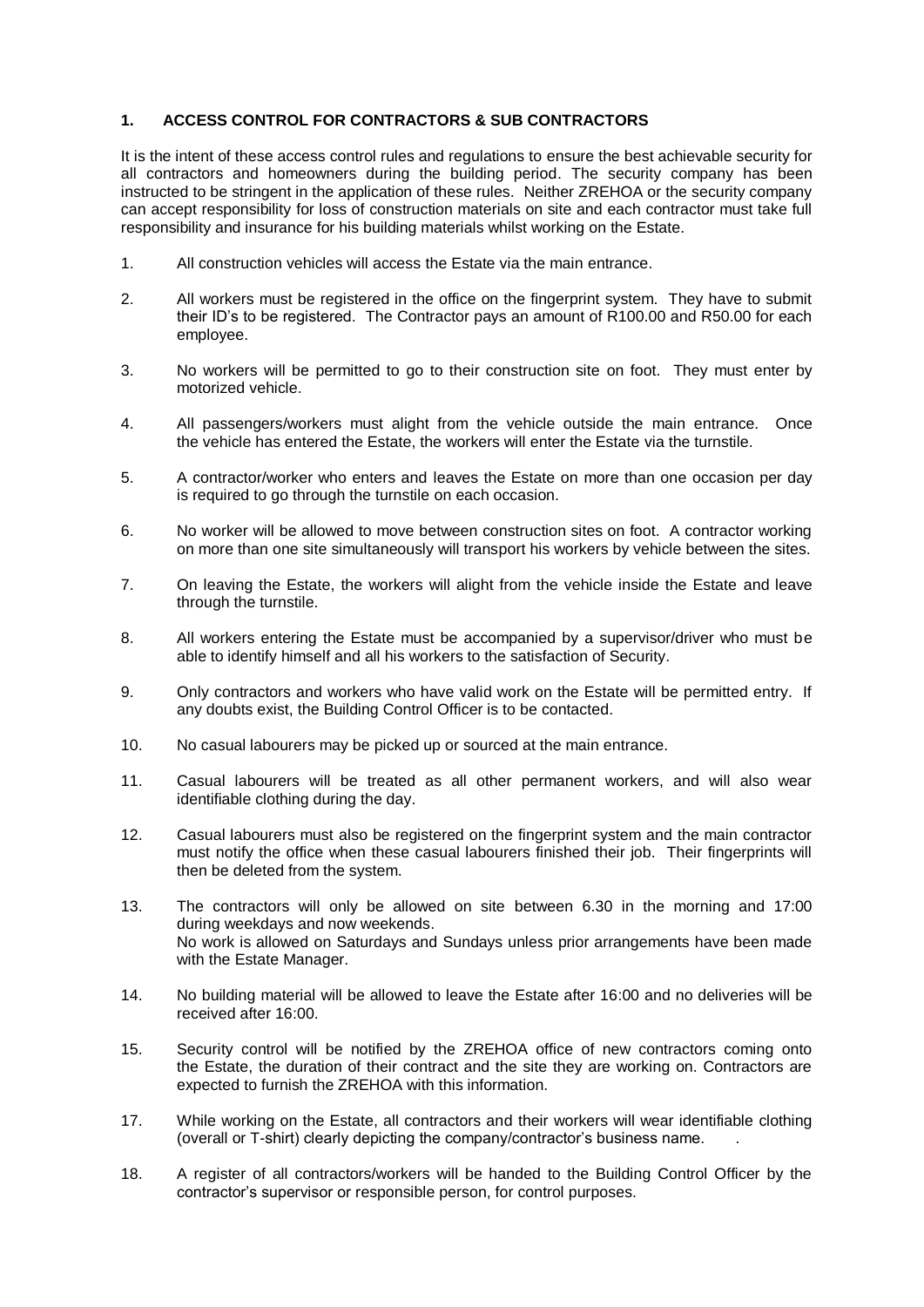## **1. ACCESS CONTROL FOR CONTRACTORS & SUB CONTRACTORS**

It is the intent of these access control rules and regulations to ensure the best achievable security for all contractors and homeowners during the building period. The security company has been instructed to be stringent in the application of these rules. Neither ZREHOA or the security company can accept responsibility for loss of construction materials on site and each contractor must take full responsibility and insurance for his building materials whilst working on the Estate.

- 1. All construction vehicles will access the Estate via the main entrance.
- 2. All workers must be registered in the office on the fingerprint system. They have to submit their ID's to be registered. The Contractor pays an amount of R100.00 and R50.00 for each employee.
- 3. No workers will be permitted to go to their construction site on foot. They must enter by motorized vehicle.
- 4. All passengers/workers must alight from the vehicle outside the main entrance. Once the vehicle has entered the Estate, the workers will enter the Estate via the turnstile.
- 5. A contractor/worker who enters and leaves the Estate on more than one occasion per day is required to go through the turnstile on each occasion.
- 6. No worker will be allowed to move between construction sites on foot. A contractor working on more than one site simultaneously will transport his workers by vehicle between the sites.
- 7. On leaving the Estate, the workers will alight from the vehicle inside the Estate and leave through the turnstile.
- 8. All workers entering the Estate must be accompanied by a supervisor/driver who must be able to identify himself and all his workers to the satisfaction of Security.
- 9. Only contractors and workers who have valid work on the Estate will be permitted entry. If any doubts exist, the Building Control Officer is to be contacted.
- 10. No casual labourers may be picked up or sourced at the main entrance.
- 11. Casual labourers will be treated as all other permanent workers, and will also wear identifiable clothing during the day.
- 12. Casual labourers must also be registered on the fingerprint system and the main contractor must notify the office when these casual labourers finished their job. Their fingerprints will then be deleted from the system.
- 13. The contractors will only be allowed on site between 6.30 in the morning and 17:00 during weekdays and now weekends. No work is allowed on Saturdays and Sundays unless prior arrangements have been made with the Estate Manager.
- 14. No building material will be allowed to leave the Estate after 16:00 and no deliveries will be received after 16:00.
- 15. Security control will be notified by the ZREHOA office of new contractors coming onto the Estate, the duration of their contract and the site they are working on. Contractors are expected to furnish the ZREHOA with this information.
- 17. While working on the Estate, all contractors and their workers will wear identifiable clothing (overall or T-shirt) clearly depicting the company/contractor's business name. .
- 18. A register of all contractors/workers will be handed to the Building Control Officer by the contractor's supervisor or responsible person, for control purposes.